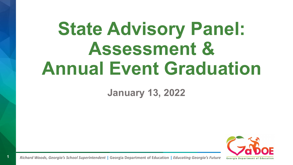# **State Advisory Panel: Assessment & Annual Event Graduation**

#### **January 13, 2022**

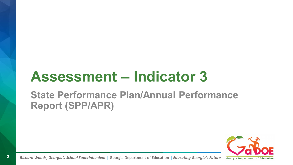## **Assessment – Indicator 3**

#### **State Performance Plan/Annual Performance Report (SPP/APR)**

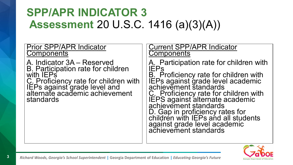### **SPP/APR INDICATOR 3 Assessment** 20 U.S.C. 1416 (a)(3)(A))

| <b>Prior SPP/APR Indicator</b><br><b>Components</b>                                                                                                                                                          | <b>Current SPP/APR Indicator</b><br><b>Components</b>                                                                                                                                                                                                                                                                                                                                                 |
|--------------------------------------------------------------------------------------------------------------------------------------------------------------------------------------------------------------|-------------------------------------------------------------------------------------------------------------------------------------------------------------------------------------------------------------------------------------------------------------------------------------------------------------------------------------------------------------------------------------------------------|
| A. Indicator 3A – Reserved<br><b>B.</b> Participation rate for children<br>with IEPs<br>C. Proficiency rate for children with<br>IEPs against grade level and<br>alternate academic achievement<br>standards | A. Participation rate for children with<br><b>IEPS</b><br>B. Proficiency rate for children with<br>IEPs against grade level academic<br>achievement standards<br>C. Proficiency rate for children with<br>IEPS against alternate academic<br>achievement standards<br>D. Gap in proficiency rates for<br>children with IEPs and all students<br>against grade level academic<br>achievement standards |

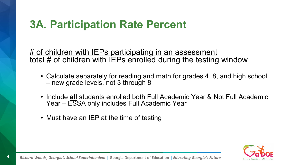### **3A. Participation Rate Percent**

# of children with IEPs participating in an assessment total # of children with IEPs enrolled during the testing window

- Calculate separately for reading and math for grades 4, 8, and high school – new grade levels, not 3 through 8
- Include **all** students enrolled both Full Academic Year & Not Full Academic Year – ESSA only includes Full Academic Year
- Must have an IEP at the time of testing

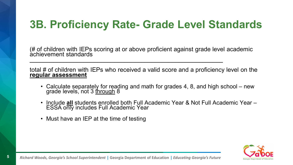### **3B. Proficiency Rate- Grade Level Standards**

(# of children with IEPs scoring at or above proficient against grade level academic achievement standards  $\_$ 

total # of children with IEPs who received a valid score and a proficiency level on the **regular assessment**

- Calculate separately for reading and math for grades 4, 8, and high school new grade levels, not 3 <u>through</u> 8
- Include **all** students enrolled both Full Academic Year & Not Full Academic Year ESSA only includes Full Academic Year
- Must have an IEP at the time of testing

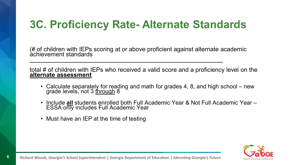### **3C. Proficiency Rate- Alternate Standards**

(# of children with IEPs scoring at or above proficient against alternate academic achievement standards  $\_$ 

total # of children with IEPs who received a valid score and a proficiency level on the **alternate assessment**

- Calculate separately for reading and math for grades 4, 8, and high school new grade levels, not 3 <u>through</u> 8
- Include **all** students enrolled both Full Academic Year & Not Full Academic Year ESSA only includes Full Academic Year
- Must have an IEP at the time of testing

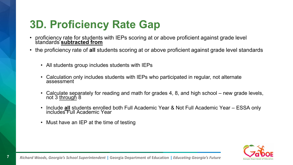### **3D. Proficiency Rate Gap**

- proficiency rate for students with IEPs scoring at or above proficient against grade level standards **subtracted from**
- the proficiency rate of **all** students scoring at or above proficient against grade level standards
	- All students group includes students with IEPs
	- Calculation only includes students with IEPs who participated in regular, not alternate assessment
	- Calculate separately for reading and math for grades 4, 8, and high school new grade levels, not 3 through 8
	- Include **all** students enrolled both Full Academic Year & Not Full Academic Year ESSA only includes Full Academic Year
	- Must have an IEP at the time of testing

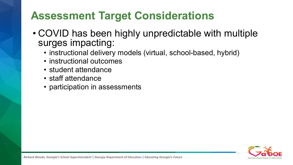### **Assessment Target Considerations**

- COVID has been highly unpredictable with multiple surges impacting:
	- instructional delivery models (virtual, school-based, hybrid)
	- instructional outcomes
	- student attendance
	- staff attendance
	- participation in assessments

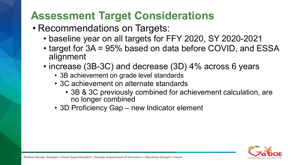### **Assessment Target Considerations**

- Recommendations on Targets:
	- baseline year on all targets for FFY 2020, SY 2020-2021
	- target for 3A = 95% based on data before COVID, and ESSA alignment
	- increase (3B-3C) and decrease (3D) 4% across 6 years
		- 3B achievement on grade level standards
		- 3C achievement on alternate standards
			- 3B & 3C previously combined for achievement calculation, are no longer combined
		- 3D Proficiency Gap new Indicator element

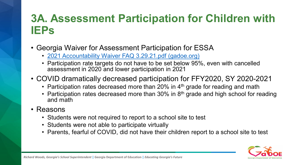### **3A. Assessment Participation for Children with IEPs**

- Georgia Waiver for Assessment Participation for ESSA
	- [2021 Accountability Waiver FAQ 3.29.21.pdf \(gadoe.org\)](https://www.gadoe.org/Curriculum-Instruction-and-Assessment/Accountability/Documents/ESSA/2021%20Accountability%20Waiver%20FAQ%203.29.21.pdf)
	- Participation rate targets do not have to be set below 95%, even with cancelled assessment in 2020 and lower participation in 2021
- COVID dramatically decreased participation for FFY2020, SY 2020-2021
	- Participation rates decreased more than 20% in  $4<sup>th</sup>$  grade for reading and math
	- Participation rates decreased more than  $30\%$  in  $8<sup>th</sup>$  grade and high school for reading and math

#### • Reasons

- Students were not required to report to a school site to test
- Students were not able to participate virtually
- Parents, fearful of COVID, did not have their children report to a school site to test

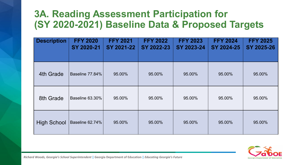#### **3A. Reading Assessment Participation for (SY 2020-2021) Baseline Data & Proposed Targets**

| <b>Description</b> | <b>FFY 2020</b><br>SY 2020-21 | <b>FFY 2021</b><br>SY 2021-22 | <b>FFY 2022</b><br>SY 2022-23 | <b>FFY 2023</b><br>SY 2023-24 | <b>FFY 2024</b><br>SY 2024-25 | <b>FFY 2025</b><br>SY 2025-26 |
|--------------------|-------------------------------|-------------------------------|-------------------------------|-------------------------------|-------------------------------|-------------------------------|
| 4th Grade          | Baseline 77.84%               | 95.00%                        | 95.00%                        | 95.00%                        | 95.00%                        | 95.00%                        |
| 8th Grade          | Baseline 63.30%               | 95.00%                        | 95.00%                        | 95.00%                        | 95.00%                        | 95.00%                        |
| <b>High School</b> | Baseline 62.74%               | 95.00%                        | 95.00%                        | 95.00%                        | 95.00%                        | 95.00%                        |

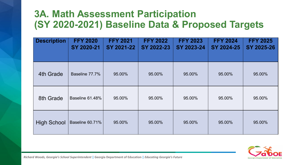#### **3A. Math Assessment Participation (SY 2020-2021) Baseline Data & Proposed Targets**

| <b>Description</b> | <b>FFY 2020</b><br>SY 2020-21 | <b>FFY 2021</b><br>SY 2021-22 | <b>FFY 2022</b><br>SY 2022-23 | <b>FFY 2023</b><br>SY 2023-24 | <b>FFY 2024</b><br>SY 2024-25 | <b>FFY 2025</b><br>SY 2025-26 |
|--------------------|-------------------------------|-------------------------------|-------------------------------|-------------------------------|-------------------------------|-------------------------------|
| 4th Grade          | Baseline 77.7%                | 95.00%                        | 95.00%                        | 95.00%                        | 95.00%                        | 95.00%                        |
| 8th Grade          | Baseline 61.48%               | 95.00%                        | 95.00%                        | 95.00%                        | 95.00%                        | 95.00%                        |
| <b>High School</b> | Baseline 60.71%               | 95.00%                        | 95.00%                        | 95.00%                        | 95.00%                        | 95.00%                        |

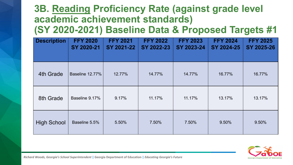#### **3B. Reading Proficiency Rate (against grade level academic achievement standards) (SY 2020-2021) Baseline Data & Proposed Targets #1**

| <b>Description</b> | <b>FFY 2020</b><br>SY 2020-21 | <b>FFY 2021</b><br>SY 2021-22 | <b>FFY 2022</b><br>SY 2022-23 | <b>FFY 2023</b><br>SY 2023-24 | <b>FFY 2024</b><br>SY 2024-25 | <b>FFY 2025</b><br>SY 2025-26 |
|--------------------|-------------------------------|-------------------------------|-------------------------------|-------------------------------|-------------------------------|-------------------------------|
| 4th Grade          | <b>Baseline 12.77%</b>        | 12.77%                        | 14.77%                        | 14.77%                        | 16.77%                        | 16.77%                        |
| 8th Grade          | Baseline 9.17%                | 9.17%                         | 11.17%                        | 11.17%                        | 13.17%                        | 13.17%                        |
| <b>High School</b> | Baseline 5.5%                 | 5.50%                         | 7.50%                         | 7.50%                         | 9.50%                         | 9.50%                         |

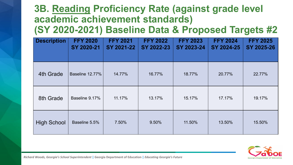#### **3B. Reading Proficiency Rate (against grade level academic achievement standards) (SY 2020-2021) Baseline Data & Proposed Targets #2**

| <b>Description</b> | <b>FFY 2020</b><br>SY 2020-21 | <b>FFY 2021</b><br>SY 2021-22 | <b>FFY 2022</b><br>SY 2022-23 | <b>FFY 2023</b><br>SY 2023-24 | <b>FFY 2024</b><br>SY 2024-25 | <b>FFY 2025</b><br>SY 2025-26 |
|--------------------|-------------------------------|-------------------------------|-------------------------------|-------------------------------|-------------------------------|-------------------------------|
| 4th Grade          | Baseline 12.77%               | 14.77%                        | 16.77%                        | 18.77%                        | 20.77%                        | 22.77%                        |
| 8th Grade          | Baseline 9.17%                | 11.17%                        | 13.17%                        | 15.17%                        | 17.17%                        | 19.17%                        |
| <b>High School</b> | Baseline 5.5%                 | 7.50%                         | 9.50%                         | 11.50%                        | 13.50%                        | 15.50%                        |

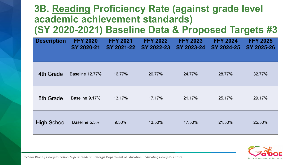#### **3B. Reading Proficiency Rate (against grade level academic achievement standards) (SY 2020-2021) Baseline Data & Proposed Targets #3**

| <b>Description</b> | <b>FFY 2020</b><br>SY 2020-21 | <b>FFY 2021</b><br>SY 2021-22 | <b>FFY 2022</b><br>SY 2022-23 | <b>FFY 2023</b><br>SY 2023-24 | <b>FFY 2024</b><br>SY 2024-25 | <b>FFY 2025</b><br>SY 2025-26 |
|--------------------|-------------------------------|-------------------------------|-------------------------------|-------------------------------|-------------------------------|-------------------------------|
| 4th Grade          | Baseline 12.77%               | 16.77%                        | 20.77%                        | 24.77%                        | 28.77%                        | 32.77%                        |
| 8th Grade          | Baseline 9.17%                | 13.17%                        | 17.17%                        | 21.17%                        | 25.17%                        | 29.17%                        |
| <b>High School</b> | Baseline 5.5%                 | 9.50%                         | 13.50%                        | 17.50%                        | 21.50%                        | 25.50%                        |

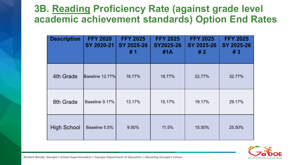#### **3B. Reading Proficiency Rate (against grade level academic achievement standards) Option End Rates**

| <b>Description</b> | <b>FFY 2020</b><br>SY 2020-21 | <b>FFY 2025</b><br>SY 2025-26<br>#1 | <b>FFY 2025</b><br>SY2025-26<br>#1A | <b>FFY 2025</b><br>SY 2025-26<br>#2 | <b>FFY 2025</b><br>SY 2025-26<br>#3 |
|--------------------|-------------------------------|-------------------------------------|-------------------------------------|-------------------------------------|-------------------------------------|
| 4th Grade          | Baseline 12.77%               | 16.77%                              | 18.77%                              | 22.77%                              | 32.77%                              |
| 8th Grade          | Baseline 9.17%                | 13.17%                              | 15.17%                              | 19.17%                              | 29.17%                              |
| <b>High School</b> | Baseline 5.5%                 | 9.50%                               | 11.5%                               | 15.50%                              | 25.50%                              |

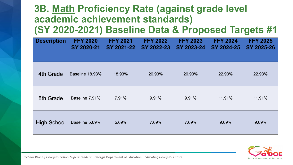#### **3B. Math Proficiency Rate (against grade level academic achievement standards) (SY 2020-2021) Baseline Data & Proposed Targets #1**

| <b>Description</b> | <b>FFY 2020</b><br>SY 2020-21 | <b>FFY 2021</b><br>SY 2021-22 | <b>FFY 2022</b><br>SY 2022-23 | <b>FFY 2023</b><br>SY 2023-24 | <b>FFY 2024</b><br>SY 2024-25 | <b>FFY 2025</b><br>SY 2025-26 |
|--------------------|-------------------------------|-------------------------------|-------------------------------|-------------------------------|-------------------------------|-------------------------------|
| 4th Grade          | Baseline 18.93%               | 18.93%                        | 20.93%                        | 20.93%                        | 22.93%                        | 22.93%                        |
| 8th Grade          | Baseline 7.91%                | 7.91%                         | 9.91%                         | 9.91%                         | 11.91%                        | 11.91%                        |
| <b>High School</b> | Baseline 5.69%                | 5.69%                         | 7.69%                         | 7.69%                         | 9.69%                         | 9.69%                         |

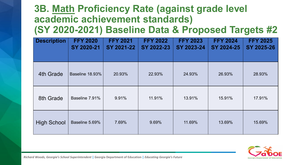#### **3B. Math Proficiency Rate (against grade level academic achievement standards) (SY 2020-2021) Baseline Data & Proposed Targets #2**

| <b>Description</b> | <b>FFY 2020</b><br>SY 2020-21 | <b>FFY 2021</b><br>SY 2021-22 | <b>FFY 2022</b><br>SY 2022-23 | <b>FFY 2023</b><br>SY 2023-24 | <b>FFY 2024</b><br>SY 2024-25 | <b>FFY 2025</b><br>SY 2025-26 |
|--------------------|-------------------------------|-------------------------------|-------------------------------|-------------------------------|-------------------------------|-------------------------------|
| <b>4th Grade</b>   | Baseline 18.93%               | 20.93%                        | 22.93%                        | 24.93%                        | 26.93%                        | 28.93%                        |
| 8th Grade          | Baseline 7.91%                | 9.91%                         | 11.91%                        | 13.91%                        | 15.91%                        | 17.91%                        |
| <b>High School</b> | Baseline 5.69%                | 7.69%                         | 9.69%                         | 11.69%                        | 13.69%                        | 15.69%                        |

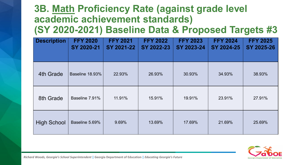#### **3B. Math Proficiency Rate (against grade level academic achievement standards) (SY 2020-2021) Baseline Data & Proposed Targets #3**

| <b>Description</b> | <b>FFY 2020</b><br>SY 2020-21 | <b>FFY 2021</b><br>SY 2021-22 | <b>FFY 2022</b><br>SY 2022-23 | <b>FFY 2023</b><br>SY 2023-24 | <b>FFY 2024</b><br>SY 2024-25 | <b>FFY 2025</b><br>SY 2025-26 |
|--------------------|-------------------------------|-------------------------------|-------------------------------|-------------------------------|-------------------------------|-------------------------------|
| 4th Grade          | Baseline 18.93%               | 22.93%                        | 26.93%                        | 30.93%                        | 34.93%                        | 38.93%                        |
| 8th Grade          | Baseline 7.91%                | 11.91%                        | 15.91%                        | 19.91%                        | 23.91%                        | 27.91%                        |
| <b>High School</b> | Baseline 5.69%                | 9.69%                         | 13.69%                        | 17.69%                        | 21.69%                        | 25.69%                        |

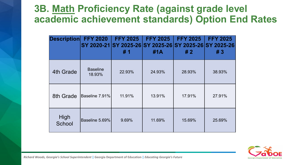#### **3B. Math Proficiency Rate (against grade level academic achievement standards) Option End Rates**

| <b>Description</b>    | <b>FFY 2020</b><br>SY 2020-21 | <b>FFY 2025</b><br>SY 2025-26<br>#1 | <b>FFY 2025</b><br>#1A | <b>FFY 2025</b><br>SY 2025-26 SY 2025-26 SY 2025-26<br>#2 | <b>FFY 2025</b><br>#3 |
|-----------------------|-------------------------------|-------------------------------------|------------------------|-----------------------------------------------------------|-----------------------|
| 4th Grade             | <b>Baseline</b><br>18.93%     | 22.93%                              | 24.93%                 | 28.93%                                                    | 38.93%                |
| 8th Grade             | Baseline 7.91%                | 11.91%                              | 13.91%                 | 17.91%                                                    | 27.91%                |
| <b>High</b><br>School | Baseline 5.69%                | 9.69%                               | 11.69%                 | 15.69%                                                    | 25.69%                |

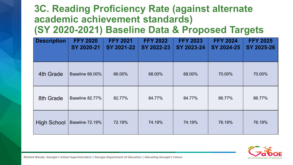#### **3C. Reading Proficiency Rate (against alternate academic achievement standards) (SY 2020-2021) Baseline Data & Proposed Targets**

| <b>Description</b> | <b>FFY 2020</b><br>SY 2020-21 | <b>FFY 2021</b><br>SY 2021-22 | <b>FFY 2022</b><br>SY 2022-23 | <b>FFY 2023</b><br>SY 2023-24 | <b>FFY 2024</b><br>SY 2024-25 | <b>FFY 2025</b><br>SY 2025-26 |
|--------------------|-------------------------------|-------------------------------|-------------------------------|-------------------------------|-------------------------------|-------------------------------|
| 4th Grade          | Baseline 66.00%               | 66.00%                        | 68.00%                        | 68.00%                        | 70.00%                        | 70.00%                        |
| 8th Grade          | Baseline 82.77%               | 82.77%                        | 84.77%                        | 84.77%                        | 86.77%                        | 86.77%                        |
| <b>High School</b> | Baseline 72.19%               | 72.19%                        | 74.19%                        | 74.19%                        | 76.19%                        | 76.19%                        |

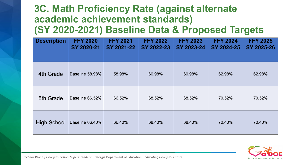#### **3C. Math Proficiency Rate (against alternate academic achievement standards) (SY 2020-2021) Baseline Data & Proposed Targets**

| <b>Description</b> | <b>FFY 2020</b><br>SY 2020-21 | <b>FFY 2021</b><br>SY 2021-22 | <b>FFY 2022</b><br>SY 2022-23 | <b>FFY 2023</b><br>SY 2023-24 | <b>FFY 2024</b><br>SY 2024-25 | <b>FFY 2025</b><br>SY 2025-26 |
|--------------------|-------------------------------|-------------------------------|-------------------------------|-------------------------------|-------------------------------|-------------------------------|
| 4th Grade          | Baseline 58.98%               | 58.98%                        | 60.98%                        | 60.98%                        | 62.98%                        | 62.98%                        |
| 8th Grade          | Baseline 66.52%               | 66.52%                        | 68.52%                        | 68.52%                        | 70.52%                        | 70.52%                        |
| <b>High School</b> | Baseline 66.40%               | 66.40%                        | 68.40%                        | 68.40%                        | 70.40%                        | 70.40%                        |

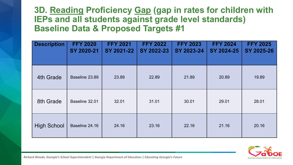#### **3D. Reading Proficiency Gap (gap in rates for children with IEPs and all students against grade level standards) Baseline Data & Proposed Targets #1**

| <b>Description</b> | <b>FFY 2020</b><br>SY 2020-21 | <b>FFY 2021</b><br>SY 2021-22 | <b>FFY 2022</b><br>SY 2022-23 | <b>FFY 2023</b><br>SY 2023-24 | <b>FFY 2024</b><br>SY 2024-25 | <b>FFY 2025</b><br>SY 2025-26 |
|--------------------|-------------------------------|-------------------------------|-------------------------------|-------------------------------|-------------------------------|-------------------------------|
| 4th Grade          | Baseline 23.89                | 23.89                         | 22.89                         | 21.89                         | 20.89                         | 19.89                         |
| 8th Grade          | Baseline 32.01                | 32.01                         | 31.01                         | 30.01                         | 29.01                         | 28.01                         |
| <b>High School</b> | Baseline 24.16                | 24.16                         | 23.16                         | 22.16                         | 21.16                         | 20.16                         |

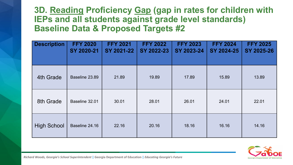#### **3D. Reading Proficiency Gap (gap in rates for children with IEPs and all students against grade level standards) Baseline Data & Proposed Targets #2**

| <b>Description</b> | <b>FFY 2020</b><br>SY 2020-21 | <b>FFY 2021</b><br>SY 2021-22 | <b>FFY 2022</b><br>SY 2022-23 | <b>FFY 2023</b><br>SY 2023-24 | <b>FFY 2024</b><br>SY 2024-25 | <b>FFY 2025</b><br>SY 2025-26 |
|--------------------|-------------------------------|-------------------------------|-------------------------------|-------------------------------|-------------------------------|-------------------------------|
| 4th Grade          | Baseline 23.89                | 21.89                         | 19.89                         | 17.89                         | 15.89                         | 13.89                         |
| 8th Grade          | Baseline 32.01                | 30.01                         | 28.01                         | 26.01                         | 24.01                         | 22.01                         |
| <b>High School</b> | Baseline 24.16                | 22.16                         | 20.16                         | 18.16                         | 16.16                         | 14.16                         |

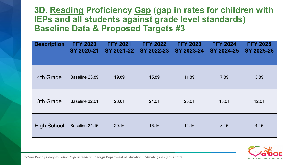#### **3D. Reading Proficiency Gap (gap in rates for children with IEPs and all students against grade level standards) Baseline Data & Proposed Targets #3**

| <b>Description</b> | <b>FFY 2020</b><br>SY 2020-21 | <b>FFY 2021</b><br>SY 2021-22 | <b>FFY 2022</b><br>SY 2022-23 | <b>FFY 2023</b><br>SY 2023-24 | <b>FFY 2024</b><br>SY 2024-25 | <b>FFY 2025</b><br>SY 2025-26 |
|--------------------|-------------------------------|-------------------------------|-------------------------------|-------------------------------|-------------------------------|-------------------------------|
| 4th Grade          | Baseline 23.89                | 19.89                         | 15.89                         | 11.89                         | 7.89                          | 3.89                          |
| 8th Grade          | Baseline 32.01                | 28.01                         | 24.01                         | 20.01                         | 16.01                         | 12.01                         |
| <b>High School</b> | Baseline 24.16                | 20.16                         | 16.16                         | 12.16                         | 8.16                          | 4.16                          |

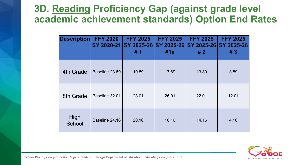#### **3D. Reading Proficiency Gap (against grade level academic achievement standards) Option End Rates**

| <b>Description</b> | <b>FFY 2020</b><br>SY 2020-21 | <b>FFY 2025</b><br>SY 2025-26<br>#1 | <b>FFY 2025</b><br>SY 2025-26<br>#1a | <b>FFY 2025</b><br>SY 2025-26<br>#2 | <b>FFY 2025</b><br>SY 2025-26<br>#3 |
|--------------------|-------------------------------|-------------------------------------|--------------------------------------|-------------------------------------|-------------------------------------|
| 4th Grade          | Baseline 23.89                | 19.89                               | 17.89                                | 13.89                               | 3.89                                |
| 8th Grade          | Baseline 32.01                | 28.01                               | 26.01                                | 22.01                               | 12.01                               |
| High<br>School     | Baseline 24.16                | 20.16                               | 18.16                                | 14.16                               | 4.16                                |

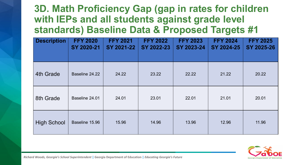#### **3D. Math Proficiency Gap (gap in rates for children with IEPs and all students against grade level standards) Baseline Data & Proposed Targets #1**

| <b>Description</b> | <b>FFY 2020</b><br>SY 2020-21 | <b>FFY 2021</b><br>SY 2021-22 | <b>FFY 2022</b><br>SY 2022-23 | <b>FFY 2023</b><br>SY 2023-24 | <b>FFY 2024</b><br>SY 2024-25 | <b>FFY 2025</b><br>SY 2025-26 |
|--------------------|-------------------------------|-------------------------------|-------------------------------|-------------------------------|-------------------------------|-------------------------------|
| 4th Grade          | Baseline 24.22                | 24.22                         | 23.22                         | 22.22                         | 21.22                         | 20.22                         |
| 8th Grade          | Baseline 24.01                | 24.01                         | 23.01                         | 22.01                         | 21.01                         | 20.01                         |
| <b>High School</b> | Baseline 15.96                | 15.96                         | 14.96                         | 13.96                         | 12.96                         | 11.96                         |

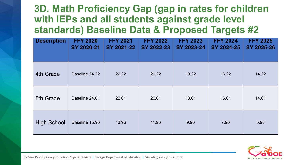#### **3D. Math Proficiency Gap (gap in rates for children with IEPs and all students against grade level standards) Baseline Data & Proposed Targets #2**

| <b>Description</b> | <b>FFY 2020</b><br>SY 2020-21 | <b>FFY 2021</b><br>SY 2021-22 | <b>FFY 2022</b><br>SY 2022-23 | <b>FFY 2023</b><br>SY 2023-24 | <b>FFY 2024</b><br>SY 2024-25 | <b>FFY 2025</b><br>SY 2025-26 |
|--------------------|-------------------------------|-------------------------------|-------------------------------|-------------------------------|-------------------------------|-------------------------------|
| 4th Grade          | Baseline 24.22                | 22.22                         | 20.22                         | 18.22                         | 16.22                         | 14.22                         |
| 8th Grade          | Baseline 24.01                | 22.01                         | 20.01                         | 18.01                         | 16.01                         | 14.01                         |
| <b>High School</b> | Baseline 15.96                | 13.96                         | 11.96                         | 9.96                          | 7.96                          | 5.96                          |

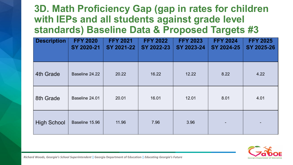#### **3D. Math Proficiency Gap (gap in rates for children with IEPs and all students against grade level standards) Baseline Data & Proposed Targets #3**

| <b>Description</b> | <b>FFY 2020</b><br>SY 2020-21 | <b>FFY 2021</b><br>SY 2021-22 | <b>FFY 2022</b><br>SY 2022-23 | <b>FFY 2023</b><br>SY 2023-24 | <b>FFY 2024</b><br>SY 2024-25 | <b>FFY 2025</b><br>SY 2025-26 |
|--------------------|-------------------------------|-------------------------------|-------------------------------|-------------------------------|-------------------------------|-------------------------------|
| 4th Grade          | Baseline 24.22                | 20.22                         | 16.22                         | 12.22                         | 8.22                          | 4.22                          |
| 8th Grade          | Baseline 24.01                | 20.01                         | 16.01                         | 12.01                         | 8.01                          | 4.01                          |
| <b>High School</b> | Baseline 15.96                | 11.96                         | 7.96                          | 3.96                          |                               |                               |

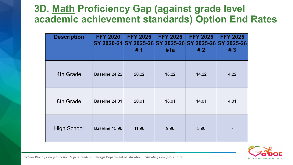#### **3D. Math Proficiency Gap (against grade level academic achievement standards) Option End Rates**

| <b>Description</b> | <b>FFY 2020</b> | <b>FFY 2025</b><br>SY 2020-21 SY 2025-26 SY 2025-26 SY 2025-26 SY 2025-26<br>#1 | <b>FFY 2025</b><br>#1a | <b>FFY 2025</b><br>#2 | <b>FFY 2025</b><br>#3 |
|--------------------|-----------------|---------------------------------------------------------------------------------|------------------------|-----------------------|-----------------------|
| 4th Grade          | Baseline 24.22  | 20.22                                                                           | 18.22                  | 14.22                 | 4.22                  |
| 8th Grade          | Baseline 24.01  | 20.01                                                                           | 18.01                  | 14.01                 | 4.01                  |
| <b>High School</b> | Baseline 15.96  | 11.96                                                                           | 9.96                   | 5.96                  |                       |